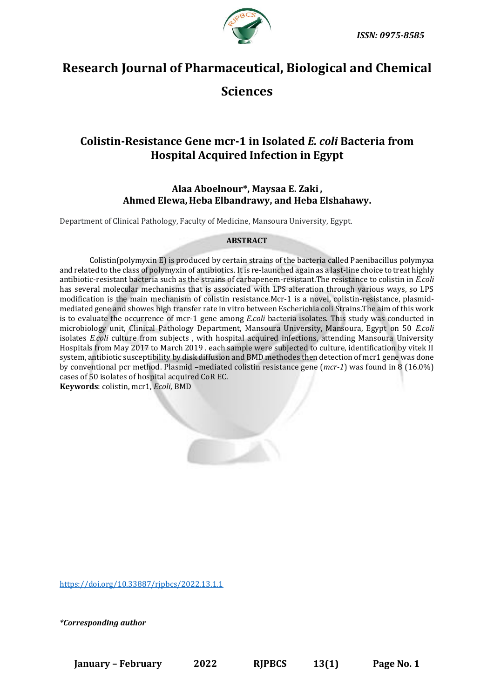

# **Research Journal of Pharmaceutical, Biological and Chemical**

## **Sciences**

## **Colistin-Resistance Gene mcr-1 in Isolated** *E. coli* **Bacteria from Hospital Acquired Infection in Egypt**

## **Alaa Aboelnour\*, Maysaa E. Zaki, Ahmed Elewa, Heba Elbandrawy, and Heba Elshahawy.**

Department of Clinical Pathology, Faculty of Medicine, Mansoura University, Egypt.

## **ABSTRACT**

Colistin(polymyxin E) is produced by certain strains of the bacteria called Paenibacillus polymyxa and related to the class of polymyxin of antibiotics. It is re-launched again as a last-line choice to treat highly antibiotic-resistant bacteria such as the strains of carbapenem-resistant.The resistance to colistin in *E.coli* has several molecular mechanisms that is associated with LPS alteration through various ways, so LPS modification is the main mechanism of colistin resistance.Mcr-1 is a novel, colistin-resistance, plasmidmediated gene and showes high transfer rate in vitro between Escherichia coli Strains.The aim of this work is to evaluate the occurrence of mcr-1 gene among *E.coli* bacteria isolates. This study was conducted in microbiology unit, Clinical Pathology Department, Mansoura University, Mansoura, Egypt on 50 *E.coli* isolates *E.coli* culture from subjects , with hospital acquired infections, attending Mansoura University Hospitals from May 2017 to March 2019 . each sample were subjected to culture, identification by vitek II system, antibiotic susceptibility by disk diffusion and BMD methodes then detection of mcr1 gene was done by conventional pcr method. Plasmid –mediated colistin resistance gene (*mcr-1*) was found in 8 (16.0%) cases of 50 isolates of hospital acquired CoR EC.

**Keywords**: colistin, mcr1, *Ecoli*, BMD

<https://doi.org/10.33887/rjpbcs/2022.13.1.1>

*\*Corresponding author*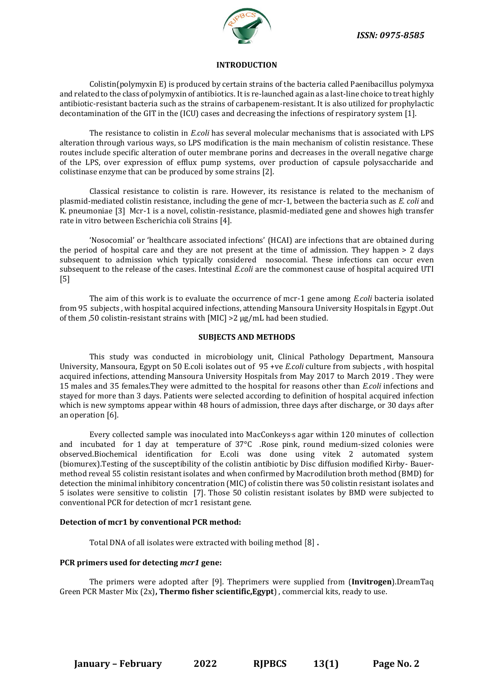

#### **INTRODUCTION**

Colistin(polymyxin E) is produced by certain strains of the bacteria called Paenibacillus polymyxa and related to the class of polymyxin of antibiotics. It is re-launched again as a last-line choice to treat highly antibiotic-resistant bacteria such as the strains of carbapenem-resistant. It is also utilized for prophylactic decontamination of the GIT in the (ICU) cases and decreasing the infections of respiratory system [1].

The resistance to colistin in *E.coli* has several molecular mechanisms that is associated with LPS alteration through various ways, so LPS modification is the main mechanism of colistin resistance. These routes include specific alteration of outer membrane porins and decreases in the overall negative charge of the LPS, over expression of efflux pump systems, over production of capsule polysaccharide and colistinase enzyme that can be produced by some strains [2].

Classical resistance to colistin is rare. However, its resistance is related to the mechanism of plasmid-mediated colistin resistance, including the gene of mcr-1, between the bacteria such as *E. coli* and K. pneumoniae [3] Mcr-1 is a novel, colistin-resistance, plasmid-mediated gene and showes high transfer rate in vitro between Escherichia coli Strains [4].

'Nosocomial' or 'healthcare associated infections' (HCAI) are infections that are obtained during the period of hospital care and they are not present at the time of admission. They happen > 2 days subsequent to admission which typically considered nosocomial. These infections can occur even subsequent to the release of the cases. Intestinal *E.coli* are the commonest cause of hospital acquired UTI [5]

The aim of this work is to evaluate the occurrence of mcr-1 gene among *E.coli* bacteria isolated from 95 subjects , with hospital acquired infections, attending Mansoura University Hospitals in Egypt .Out of them ,50 colistin-resistant strains with [MIC] >2 μg/mL had been studied.

#### **SUBJECTS AND METHODS**

This study was conducted in microbiology unit, Clinical Pathology Department, Mansoura University, Mansoura, Egypt on 50 E.coli isolates out of 95 +ve *E.coli* culture from subjects , with hospital acquired infections, attending Mansoura University Hospitals from May 2017 to March 2019 . They were 15 males and 35 females.They were admitted to the hospital for reasons other than *E.coli* infections and stayed for more than 3 days. Patients were selected according to definition of hospital acquired infection which is new symptoms appear within 48 hours of admission, three days after discharge, or 30 days after an operation [6].

Every collected sample was inoculated into MacConkeys<sub>'</sub>s agar within 120 minutes of collection and incubated for 1 day at temperature of 37°C .Rose pink, round medium-sized colonies were observed.Biochemical identification for E.coli was done using vitek 2 automated system (biomurex).Testing of the susceptibility of the colistin antibiotic by Disc diffusion modified Kirby- Bauermethod reveal 55 colistin resistant isolates and when confirmed by Macrodilution broth method (BMD) for detection the minimal inhibitory concentration (MIC) of colistin there was 50 colistin resistant isolates and 5 isolates were sensitive to colistin [7]. Those 50 colistin resistant isolates by BMD were subjected to conventional PCR for detection of mcr1 resistant gene.

#### **Detection of mcr1 by conventional PCR method:**

Total DNA of all isolates were extracted with boiling method [8] **.**

#### **PCR primers used for detecting** *mcr1* **gene:**

The primers were adopted after [9]. Theprimers were supplied from (**Invitrogen**).DreamTaq Green PCR Master Mix (2x)**, Thermo fisher scientific,Egypt**) , commercial kits, ready to use.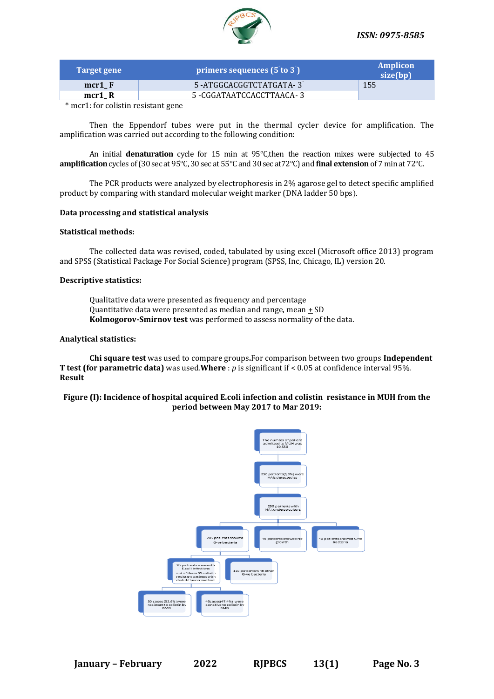

| Target gene | primers sequences (5 to 3)  | Amplicon<br>size(bp) |
|-------------|-----------------------------|----------------------|
| $mcr1 \, F$ | 5 -ATGGCACGGTCTATGATA-3     | 155                  |
| mcr1 R      | 5 - CGGATAATCCACCTTAACA - 3 |                      |

\* mcr1: for colistin resistant gene

Then the Eppendorf tubes were put in the thermal cycler device for amplification. The amplification was carried out according to the following condition:

An initial **denaturation** cycle for 15 min at 95°C,then the reaction mixes were subjected to 45 **amplification** cycles of (30 sec at 95°C, 30 sec at 55°C and 30 sec at72°C) and **final extension** of 7 min at 72°C.

The PCR products were analyzed by electrophoresis in 2% agarose gel to detect specific amplified product by comparing with standard molecular weight marker (DNA ladder 50 bps).

#### **Data processing and statistical analysis**

## **Statistical methods:**

The collected data was revised, coded, tabulated by using excel (Microsoft office 2013) program and SPSS (Statistical Package For Social Science) program (SPSS, Inc, Chicago, IL) version 20.

#### **Descriptive statistics:**

Qualitative data were presented as frequency and percentage Quantitative data were presented as median and range, mean + SD **Kolmogorov-Smirnov test** was performed to assess normality of the data.

#### **Analytical statistics:**

**Chi square test** was used to compare groups**.**For comparison between two groups **Independent T test (for parametric data)** was used.**Where** : *p* is significant if < 0.05 at confidence interval 95%. **Result** 

#### **Figure (I): Incidence of hospital acquired E.coli infection and colistin resistance in MUH from the period between May 2017 to Mar 2019:**

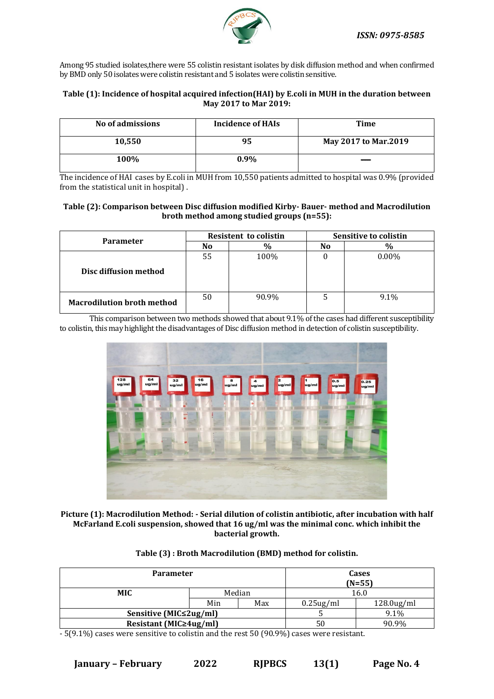

Among 95 studied isolates,there were 55 colistin resistant isolates by disk diffusion method and when confirmed by BMD only 50 isolates were colistin resistant and 5 isolates were colistin sensitive.

### **Table (1): Incidence of hospital acquired infection(HAI) by E.coli in MUH in the duration between May 2017 to Mar 2019:**

| No of admissions | Incidence of HAIs | Time                        |
|------------------|-------------------|-----------------------------|
| 10,550           | 95                | <b>May 2017 to Mar.2019</b> |
| 100%             | $0.9\%$           |                             |

The incidence of HAI cases by E.coli in MUH from 10,550 patients admitted to hospital was 0.9% (provided from the statistical unit in hospital) .

## **Table (2): Comparison between Disc diffusion modified Kirby- Bauer- method and Macrodilution broth method among studied groups (n=55):**

| <b>Parameter</b>                  | <b>Resistent to colistin</b> |       | Sensitive to colistin |          |
|-----------------------------------|------------------------------|-------|-----------------------|----------|
|                                   | No                           |       | No                    | $\%$     |
|                                   | 55                           | 100%  |                       | $0.00\%$ |
| Disc diffusion method             |                              |       |                       |          |
| <b>Macrodilution broth method</b> | 50                           | 90.9% |                       | 9.1%     |

This comparison between two methods showed that about 9.1% of the cases had different susceptibility to colistin, this may highlight the disadvantages of Disc diffusion method in detection of colistin susceptibility.



**Picture (1): Macrodilution Method: - Serial dilution of colistin antibiotic, after incubation with half McFarland E.coli suspension, showed that 16 ug/ml was the minimal conc. which inhibit the bacterial growth.**

|  | Table (3) : Broth Macrodilution (BMD) method for colistin. |
|--|------------------------------------------------------------|
|--|------------------------------------------------------------|

| <b>Parameter</b>              |        |     |              | Cases<br>$(N=55)$ |
|-------------------------------|--------|-----|--------------|-------------------|
| <b>MIC</b>                    | Median |     | 16.0         |                   |
|                               | Min    | Max | $0.25$ ug/ml | $128.0$ ug/ml     |
| Sensitive (MIC≤2ug/ml)        |        |     |              | 9.1%              |
| Resistant (MIC $\geq$ 4ug/ml) |        |     | 50           | 90.9%             |

- 5(9.1%) cases were sensitive to colistin and the rest 50 (90.9%) cases were resistant.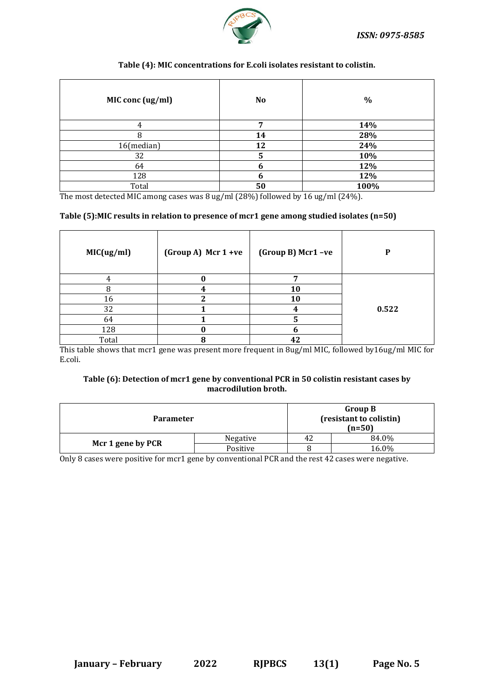

## **Table (4): MIC concentrations for E.coli isolates resistant to colistin.**

| MIC conc (ug/ml) | <b>No</b> | $\%$ |
|------------------|-----------|------|
| 4                | 7         | 14%  |
| O                | 14        | 28%  |
| 16(median)       | 12        | 24%  |
| 32               | 5         | 10%  |
| 64               | 6         | 12%  |
| 128              | n         | 12%  |
| Total            | 50        | 100% |

The most detected MIC among cases was 8 ug/ml (28%) followed by 16 ug/ml (24%).

## **Table (5):MIC results in relation to presence of mcr1 gene among studied isolates (n=50)**

| MIC(ug/ml) | (Group A) Mcr 1 +ve | (Group B) Mcr1-ve | D     |
|------------|---------------------|-------------------|-------|
|            | 0                   |                   |       |
|            |                     | <b>10</b>         |       |
| 16         | ำ                   | 10                |       |
| 32         |                     |                   | 0.522 |
| 64         |                     |                   |       |
| 128        |                     |                   |       |
| Total      | 8                   | 42                |       |

This table shows that mcr1 gene was present more frequent in 8ug/ml MIC, followed by16ug/ml MIC for E.coli.

## **Table (6): Detection of mcr1 gene by conventional PCR in 50 colistin resistant cases by macrodilution broth.**

| <b>Parameter</b>  | <b>Group B</b><br>(resistant to colistin)<br>$(n=50)$ |    |       |
|-------------------|-------------------------------------------------------|----|-------|
| Mcr 1 gene by PCR | Negative                                              | 42 | 84.0% |
|                   | Positive                                              |    | 16.0% |

Only 8 cases were positive for mcr1 gene by conventional PCR and the rest 42 cases were negative.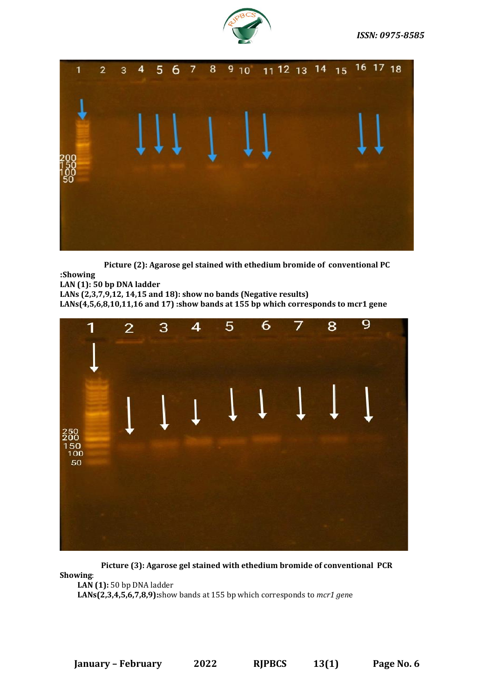



**Picture (2): Agarose gel stained with ethedium bromide of conventional PC**

 **:Showing LAN (1): 50 bp DNA ladder LANs (2,3,7,9,12, 14,15 and 18): show no bands (Negative results) LANs(4,5,6,8,10,11,16 and 17) :show bands at 155 bp which corresponds to mcr1 gene**



**Picture (3): Agarose gel stained with ethedium bromide of conventional PCR**

**Showing**:

**LAN (1):** 50 bp DNA ladder

**LANs(2,3,4,5,6,7,8,9):**show bands at 155 bp which corresponds to *mcr1 gen*e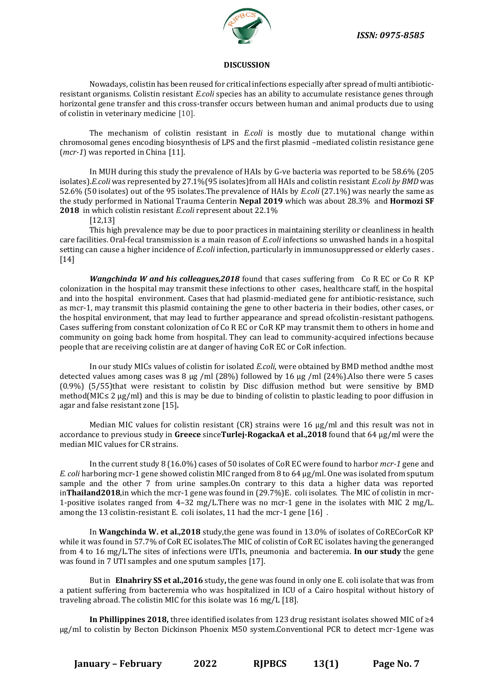

#### **DISCUSSION**

Nowadays, colistin has been reused for critical infections especially after spread of multi antibioticresistant organisms. Colistin resistant *E.coli* species has an ability to accumulate resistance genes through horizontal gene transfer and this cross-transfer occurs between human and animal products due to using of colistin in veterinary medicine [10].

The mechanism of colistin resistant in *E.coli* is mostly due to mutational change within chromosomal genes encoding biosynthesis of LPS and the first plasmid –mediated colistin resistance gene (*mcr-1*) was reported in China [11].

In MUH during this study the prevalence of HAIs by G-ve bacteria was reported to be 58.6% (205 isolates).*E.coli* was represented by 27.1%(95 isolates)from all HAIs and colistin resistant *E.coli by BMD* was 52.6% (50 isolates) out of the 95 isolates.The prevalence of HAIs by *E.coli* (27.1%) was nearly the same as the study performed in National Trauma Centerin **Nepal 2019** which was about 28.3% and **Hormozi SF 2018** in which colistin resistant *E.coli* represent about 22.1%

[12,13]

This high prevalence may be due to poor practices in maintaining sterility or cleanliness in health care facilities. Oral-fecal transmission is a main reason of *E.coli* infections so unwashed hands in a hospital setting can cause a higher incidence of *E.coli* infection, particularly in immunosuppressed or elderly cases . [14]

*Wangchinda W and his colleagues,2018* found that cases suffering from Co R EC or Co R KP colonization in the hospital may transmit these infections to other cases, healthcare staff, in the hospital and into the hospital environment. Cases that had plasmid-mediated gene for antibiotic-resistance, such as mcr-1, may transmit this plasmid containing the gene to other bacteria in their bodies, other cases, or the hospital environment, that may lead to further appearance and spread ofcolistin-resistant pathogens. Cases suffering from constant colonization of Co R EC or CoR KP may transmit them to others in home and community on going back home from hospital. They can lead to community-acquired infections because people that are receiving colistin are at danger of having CoR EC or CoR infection.

In our study MICs values of colistin for isolated *E.coli*, were obtained by BMD method andthe most detected values among cases was 8 µg /ml (28%) followed by 16 µg /ml (24%).Also there were 5 cases (0.9%) (5/55)that were resistant to colistin by Disc diffusion method but were sensitive by BMD method(MIC≤ 2 µg/ml) and this is may be due to binding of colistin to plastic leading to poor diffusion in agar and false resistant zone [15]*.*

Median MIC values for colistin resistant (CR) strains were 16  $\mu$ g/ml and this result was not in accordance to previous study in **Greece** since**Turlej-RogackaA et al.,2018** found that 64 μg/ml were the median MIC values for CR strains.

In the current study 8 (16.0%) cases of 50 isolates of CoR EC were found to harbor *mcr-1* gene and *E. coli* harboring mcr-1 gene showed colistin MIC ranged from 8 to 64 μg/ml. One was isolated from sputum sample and the other 7 from urine samples.On contrary to this data a higher data was reported in**Thailand2018**,in which the mcr-1 gene was found in (29.7%)E. coli isolates. The MIC of colistin in mcr-1-positive isolates ranged from 4–32 mg/L.There was no mcr-1 gene in the isolates with MIC 2 mg/L. among the 13 colistin-resistant E. coli isolates, 11 had the mcr-1 gene [16] .

In **Wangchinda W. et al.,2018** study,the gene was found in 13.0% of isolates of CoRECorCoR KP while it was found in 57.7% of CoR EC isolates.The MIC of colistin of CoR EC isolates having the generanged from 4 to 16 mg/L.The sites of infections were UTIs, pneumonia and bacteremia. **In our study** the gene was found in 7 UTI samples and one sputum samples [17].

But in **Elnahriry SS et al.,2016** study**,** the gene was found in only one E. coli isolate that was from a patient suffering from bacteremia who was hospitalized in ICU of a Cairo hospital without history of traveling abroad. The colistin MIC for this isolate was 16 mg/L [18].

**In Phillippines 2018,** three identified isolates from 123 drug resistant isolates showed MIC of ≥4 μg/ml to colistin by Becton Dickinson Phoenix M50 system.Conventional PCR to detect mcr-1gene was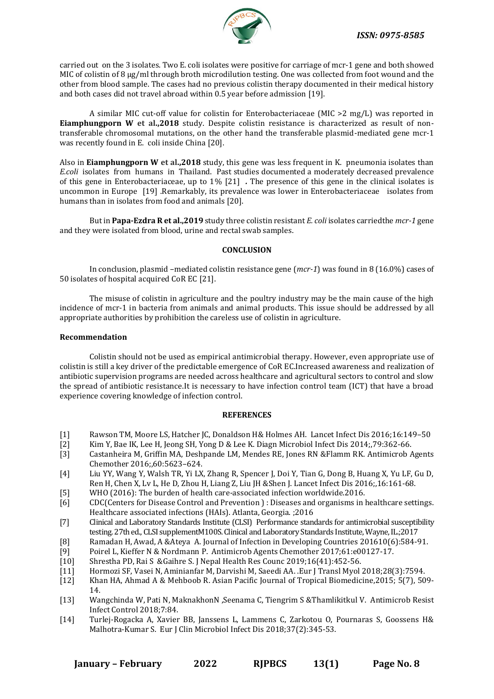

carried out on the 3 isolates. Two E. coli isolates were positive for carriage of mcr-1 gene and both showed MIC of colistin of 8 µg/ml through broth microdilution testing. One was collected from foot wound and the other from blood sample. The cases had no previous colistin therapy documented in their medical history and both cases did not travel abroad within 0.5 year before admission [19].

A similar MIC cut-off value for colistin for Enterobacteriaceae (MIC >2 mg/L) was reported in **Eiamphungporn W et al.,2018** study. Despite colistin resistance is characterized as result of nontransferable chromosomal mutations, on the other hand the transferable plasmid-mediated gene mcr-1 was recently found in E. coli inside China [20].

Also in **Eiamphungporn W et al.,2018** study, this gene was less frequent in K. pneumonia isolates than *E.coli* isolates from humans in Thailand. Past studies documented a moderately decreased prevalence of this gene in Enterobacteriaceae, up to 1% [21] *.* The presence of this gene in the clinical isolates is uncommon in Europe [19] .Remarkably, its prevalence was lower in Enterobacteriaceae isolates from humans than in isolates from food and animals [20].

But in **Papa-Ezdra R et al.,2019** study three colistin resistant *E. coli* isolates carriedthe *mcr-1* gene and they were isolated from blood, urine and rectal swab samples.

### **CONCLUSION**

In conclusion, plasmid –mediated colistin resistance gene (*mcr-1*) was found in 8 (16.0%) cases of 50 isolates of hospital acquired CoR EC [21].

The misuse of colistin in agriculture and the poultry industry may be the main cause of the high incidence of mcr-1 in bacteria from animals and animal products. This issue should be addressed by all appropriate authorities by prohibition the careless use of colistin in agriculture.

#### **Recommendation**

Colistin should not be used as empirical antimicrobial therapy. However, even appropriate use of colistin is still a key driver of the predictable emergence of CoR EC.Increased awareness and realization of antibiotic supervision programs are needed across healthcare and agricultural sectors to control and slow the spread of antibiotic resistance.It is necessary to have infection control team (ICT) that have a broad experience covering knowledge of infection control.

#### **REFERENCES**

- [1] Rawson TM, Moore LS, Hatcher JC, Donaldson H& Holmes AH. Lancet Infect Dis 2016;16:149–50
- [2] Kim Y, Bae IK, Lee H, Jeong SH, Yong D & Lee K. Diagn Microbiol Infect Dis 2014;,79:362-66.
- [3] Castanheira M, Griffin MA, Deshpande LM, Mendes RE, Jones RN &Flamm RK. Antimicrob Agents Chemother 2016;,60:5623–624.
- [4] Liu YY, Wang Y, Walsh TR, Yi LX, Zhang R, Spencer J, Doi Y, Tian G, Dong B, Huang X, Yu LF, Gu D, Ren H, Chen X, Lv L, He D, Zhou H, Liang Z, Liu JH &Shen J. Lancet Infect Dis 2016;,16:161-68.
- [5] WHO (2016): The burden of health care-associated infection worldwide.2016.
- [6] CDC(Centers for Disease Control and Prevention ) : Diseases and organisms in healthcare settings. Healthcare associated infections (HAIs). Atlanta, Georgia. ;2016
- [7] Clinical and Laboratory Standards Institute (CLSI) Performance standards for antimicrobial susceptibility testing. 27th ed., CLSI supplementM100S. Clinical and Laboratory Standards Institute, Wayne, IL.;2017
- [8] Ramadan H, Awad, A &Ateya A. Journal of Infection in Developing Countries 201610(6):584-91.
- [9] Poirel L, Kieffer N & Nordmann P. Antimicrob Agents Chemother 2017;61:e00127-17.
- [10] Shrestha PD, Rai S &Gaihre S. J Nepal Health Res Counc 2019;16(41):452-56.
- [11] Hormozi SF, Vasei N, Aminianfar M, Darvishi M, Saeedi AA. .Eur J Transl Myol 2018;28(3):7594.
- [12] Khan HA, Ahmad A & Mehboob R. Asian Pacific Journal of Tropical Biomedicine,2015; 5(7), 509- 14.
- [13] Wangchinda W, Pati N, MaknakhonN ,Seenama C, Tiengrim S &Thamlikitkul V. Antimicrob Resist Infect Control 2018;7:84.
- [14] Turlej-Rogacka A, Xavier BB, Janssens L, Lammens C, Zarkotou O, Pournaras S, Goossens H& Malhotra-Kumar S. Eur J Clin Microbiol Infect Dis 2018;37(2):345-53.